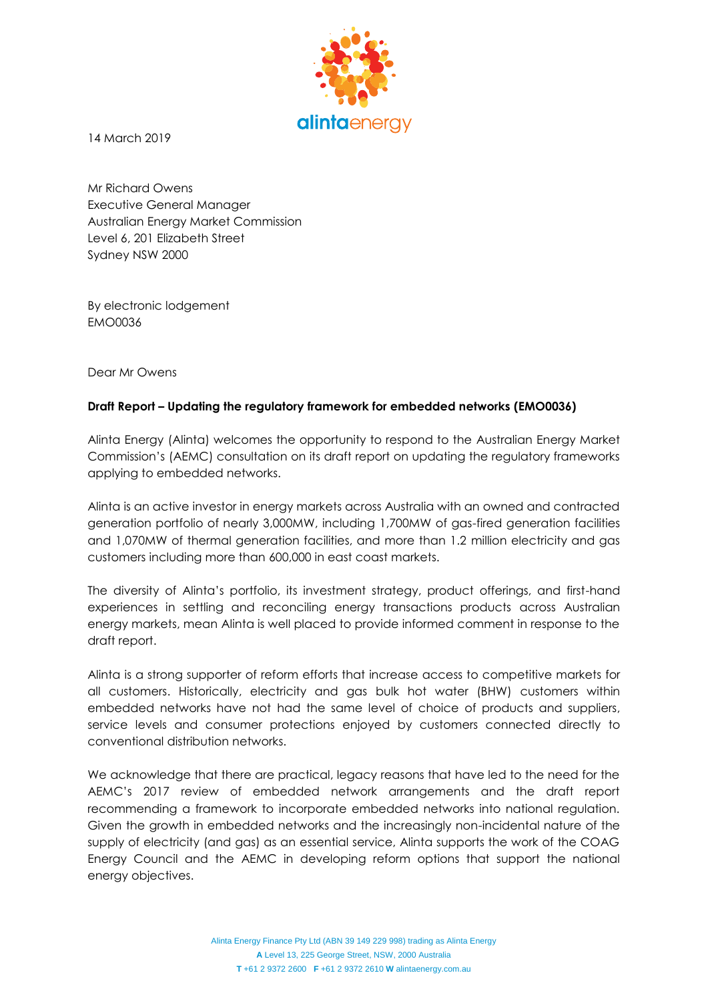

14 March 2019

Mr Richard Owens Executive General Manager Australian Energy Market Commission Level 6, 201 Elizabeth Street Sydney NSW 2000

By electronic lodgement EMO0036

Dear Mr Owens

## **Draft Report – Updating the regulatory framework for embedded networks (EMO0036)**

Alinta Energy (Alinta) welcomes the opportunity to respond to the Australian Energy Market Commission's (AEMC) consultation on its draft report on updating the regulatory frameworks applying to embedded networks.

Alinta is an active investor in energy markets across Australia with an owned and contracted generation portfolio of nearly 3,000MW, including 1,700MW of gas-fired generation facilities and 1,070MW of thermal generation facilities, and more than 1.2 million electricity and gas customers including more than 600,000 in east coast markets.

The diversity of Alinta's portfolio, its investment strategy, product offerings, and first-hand experiences in settling and reconciling energy transactions products across Australian energy markets, mean Alinta is well placed to provide informed comment in response to the draft report.

Alinta is a strong supporter of reform efforts that increase access to competitive markets for all customers. Historically, electricity and gas bulk hot water (BHW) customers within embedded networks have not had the same level of choice of products and suppliers, service levels and consumer protections enjoyed by customers connected directly to conventional distribution networks.

We acknowledge that there are practical, legacy reasons that have led to the need for the AEMC's 2017 review of embedded network arrangements and the draft report recommending a framework to incorporate embedded networks into national regulation. Given the growth in embedded networks and the increasingly non-incidental nature of the supply of electricity (and gas) as an essential service, Alinta supports the work of the COAG Energy Council and the AEMC in developing reform options that support the national energy objectives.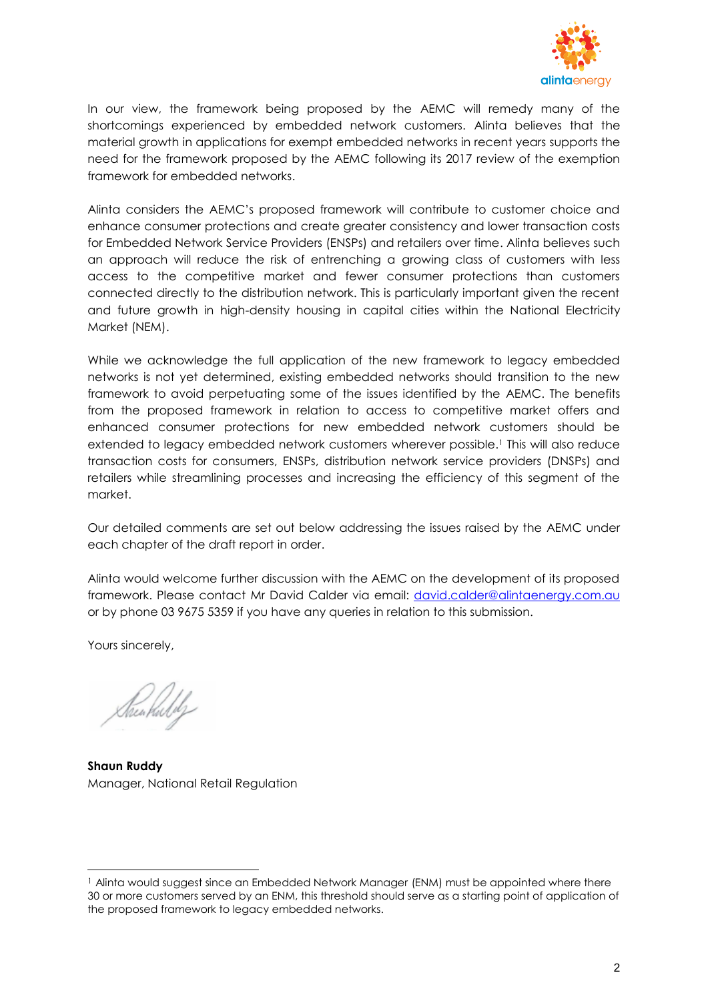

In our view, the framework being proposed by the AEMC will remedy many of the shortcomings experienced by embedded network customers. Alinta believes that the material growth in applications for exempt embedded networks in recent years supports the need for the framework proposed by the AEMC following its 2017 review of the exemption framework for embedded networks.

Alinta considers the AEMC's proposed framework will contribute to customer choice and enhance consumer protections and create greater consistency and lower transaction costs for Embedded Network Service Providers (ENSPs) and retailers over time. Alinta believes such an approach will reduce the risk of entrenching a growing class of customers with less access to the competitive market and fewer consumer protections than customers connected directly to the distribution network. This is particularly important given the recent and future growth in high-density housing in capital cities within the National Electricity Market (NEM).

While we acknowledge the full application of the new framework to legacy embedded networks is not yet determined, existing embedded networks should transition to the new framework to avoid perpetuating some of the issues identified by the AEMC. The benefits from the proposed framework in relation to access to competitive market offers and enhanced consumer protections for new embedded network customers should be extended to legacy embedded network customers wherever possible.<sup>1</sup> This will also reduce transaction costs for consumers, ENSPs, distribution network service providers (DNSPs) and retailers while streamlining processes and increasing the efficiency of this segment of the market.

Our detailed comments are set out below addressing the issues raised by the AEMC under each chapter of the draft report in order.

Alinta would welcome further discussion with the AEMC on the development of its proposed framework. Please contact Mr David Calder via email: [david.calder@alintaenergy.com.au](mailto:david.calder@alintaenergy.com.au) or by phone 03 9675 5359 if you have any queries in relation to this submission.

Yours sincerely,

l

**Shaun Ruddy** Manager, National Retail Regulation

<sup>&</sup>lt;sup>1</sup> Alinta would suggest since an Embedded Network Manager (ENM) must be appointed where there 30 or more customers served by an ENM, this threshold should serve as a starting point of application of the proposed framework to legacy embedded networks.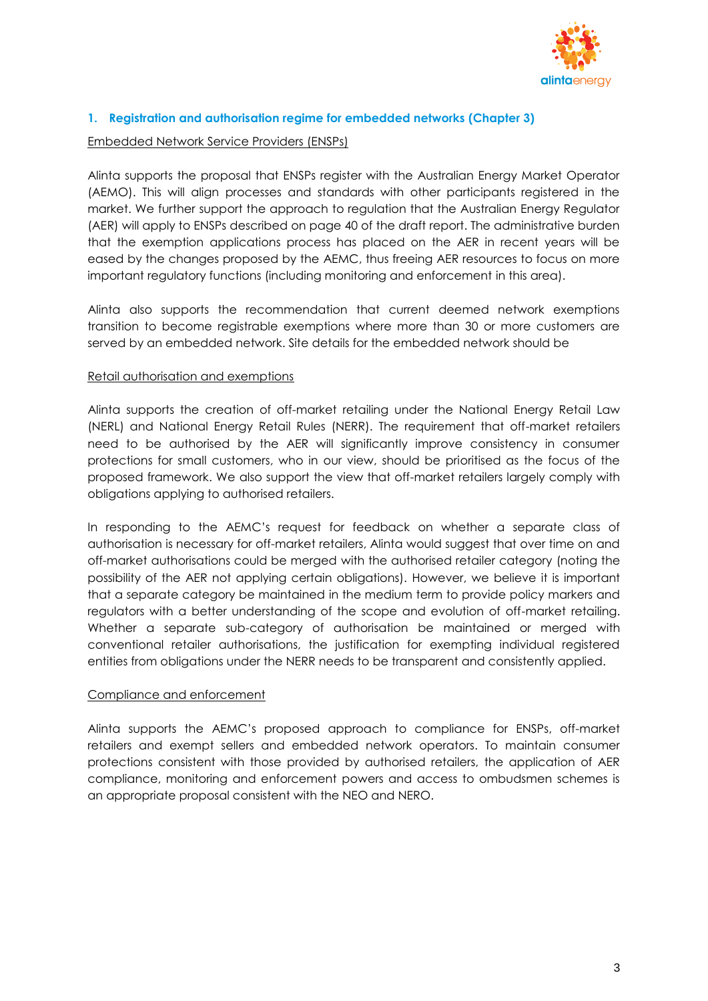

# **1. Registration and authorisation regime for embedded networks (Chapter 3)**

### Embedded Network Service Providers (ENSPs)

Alinta supports the proposal that ENSPs register with the Australian Energy Market Operator (AEMO). This will align processes and standards with other participants registered in the market. We further support the approach to regulation that the Australian Energy Regulator (AER) will apply to ENSPs described on page 40 of the draft report. The administrative burden that the exemption applications process has placed on the AER in recent years will be eased by the changes proposed by the AEMC, thus freeing AER resources to focus on more important regulatory functions (including monitoring and enforcement in this area).

Alinta also supports the recommendation that current deemed network exemptions transition to become registrable exemptions where more than 30 or more customers are served by an embedded network. Site details for the embedded network should be

## Retail authorisation and exemptions

Alinta supports the creation of off-market retailing under the National Energy Retail Law (NERL) and National Energy Retail Rules (NERR). The requirement that off-market retailers need to be authorised by the AER will significantly improve consistency in consumer protections for small customers, who in our view, should be prioritised as the focus of the proposed framework. We also support the view that off-market retailers largely comply with obligations applying to authorised retailers.

In responding to the AEMC's request for feedback on whether a separate class of authorisation is necessary for off-market retailers, Alinta would suggest that over time on and off-market authorisations could be merged with the authorised retailer category (noting the possibility of the AER not applying certain obligations). However, we believe it is important that a separate category be maintained in the medium term to provide policy markers and regulators with a better understanding of the scope and evolution of off-market retailing. Whether a separate sub-category of authorisation be maintained or merged with conventional retailer authorisations, the justification for exempting individual registered entities from obligations under the NERR needs to be transparent and consistently applied.

#### Compliance and enforcement

Alinta supports the AEMC's proposed approach to compliance for ENSPs, off-market retailers and exempt sellers and embedded network operators. To maintain consumer protections consistent with those provided by authorised retailers, the application of AER compliance, monitoring and enforcement powers and access to ombudsmen schemes is an appropriate proposal consistent with the NEO and NERO.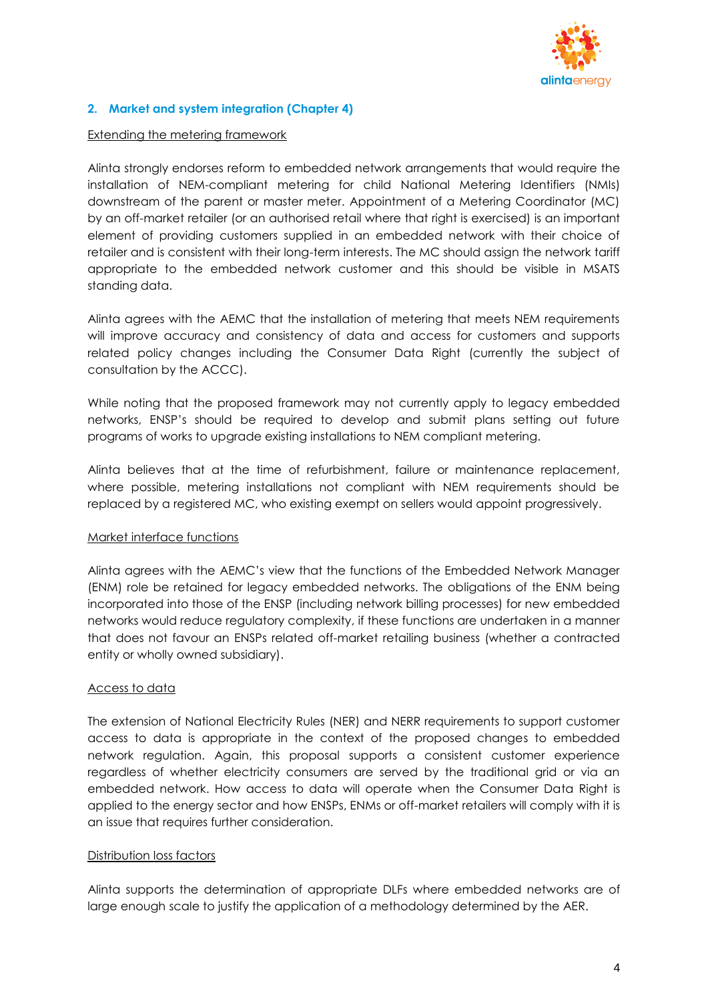

## **2. Market and system integration (Chapter 4)**

### Extending the metering framework

Alinta strongly endorses reform to embedded network arrangements that would require the installation of NEM-compliant metering for child National Metering Identifiers (NMIs) downstream of the parent or master meter. Appointment of a Metering Coordinator (MC) by an off-market retailer (or an authorised retail where that right is exercised) is an important element of providing customers supplied in an embedded network with their choice of retailer and is consistent with their long-term interests. The MC should assign the network tariff appropriate to the embedded network customer and this should be visible in MSATS standing data.

Alinta agrees with the AEMC that the installation of metering that meets NEM requirements will improve accuracy and consistency of data and access for customers and supports related policy changes including the Consumer Data Right (currently the subject of consultation by the ACCC).

While noting that the proposed framework may not currently apply to legacy embedded networks, ENSP's should be required to develop and submit plans setting out future programs of works to upgrade existing installations to NEM compliant metering.

Alinta believes that at the time of refurbishment, failure or maintenance replacement, where possible, metering installations not compliant with NEM requirements should be replaced by a registered MC, who existing exempt on sellers would appoint progressively.

## Market interface functions

Alinta agrees with the AEMC's view that the functions of the Embedded Network Manager (ENM) role be retained for legacy embedded networks. The obligations of the ENM being incorporated into those of the ENSP (including network billing processes) for new embedded networks would reduce regulatory complexity, if these functions are undertaken in a manner that does not favour an ENSPs related off-market retailing business (whether a contracted entity or wholly owned subsidiary).

## Access to data

The extension of National Electricity Rules (NER) and NERR requirements to support customer access to data is appropriate in the context of the proposed changes to embedded network regulation. Again, this proposal supports a consistent customer experience regardless of whether electricity consumers are served by the traditional grid or via an embedded network. How access to data will operate when the Consumer Data Right is applied to the energy sector and how ENSPs, ENMs or off-market retailers will comply with it is an issue that requires further consideration.

#### Distribution loss factors

Alinta supports the determination of appropriate DLFs where embedded networks are of large enough scale to justify the application of a methodology determined by the AER.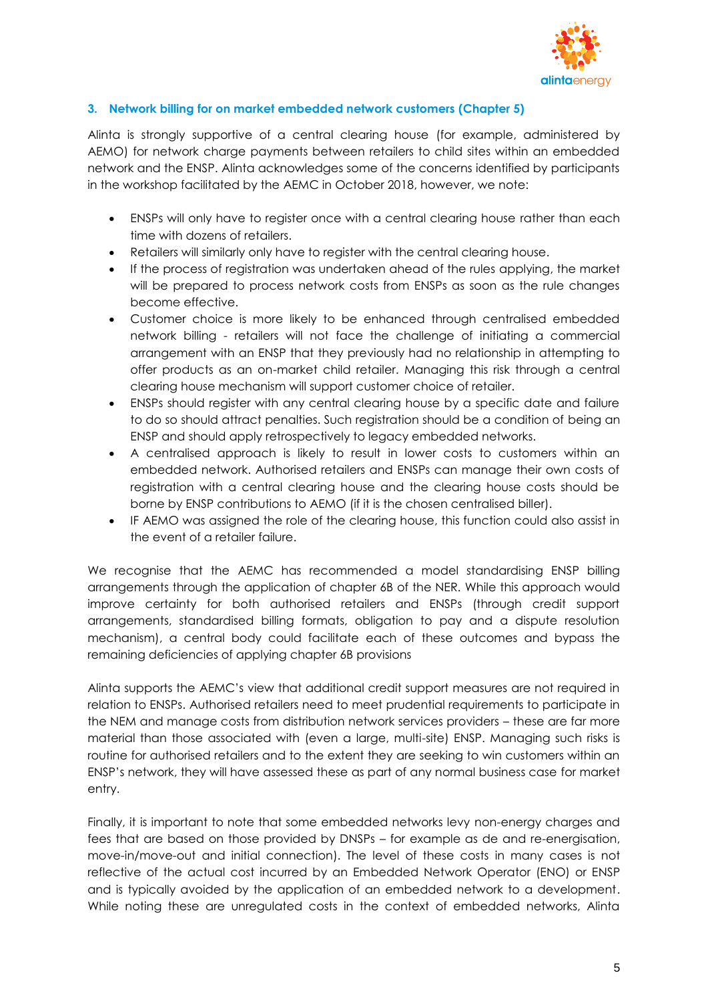

## **3. Network billing for on market embedded network customers (Chapter 5)**

Alinta is strongly supportive of a central clearing house (for example, administered by AEMO) for network charge payments between retailers to child sites within an embedded network and the ENSP. Alinta acknowledges some of the concerns identified by participants in the workshop facilitated by the AEMC in October 2018, however, we note:

- ENSPs will only have to register once with a central clearing house rather than each time with dozens of retailers.
- Retailers will similarly only have to register with the central clearing house.
- If the process of registration was undertaken ahead of the rules applying, the market will be prepared to process network costs from ENSPs as soon as the rule changes become effective.
- Customer choice is more likely to be enhanced through centralised embedded network billing - retailers will not face the challenge of initiating a commercial arrangement with an ENSP that they previously had no relationship in attempting to offer products as an on-market child retailer. Managing this risk through a central clearing house mechanism will support customer choice of retailer.
- ENSPs should register with any central clearing house by a specific date and failure to do so should attract penalties. Such registration should be a condition of being an ENSP and should apply retrospectively to legacy embedded networks.
- A centralised approach is likely to result in lower costs to customers within an embedded network. Authorised retailers and ENSPs can manage their own costs of registration with a central clearing house and the clearing house costs should be borne by ENSP contributions to AEMO (if it is the chosen centralised biller).
- IF AEMO was assigned the role of the clearing house, this function could also assist in the event of a retailer failure.

We recognise that the AEMC has recommended a model standardising ENSP billing arrangements through the application of chapter 6B of the NER. While this approach would improve certainty for both authorised retailers and ENSPs (through credit support arrangements, standardised billing formats, obligation to pay and a dispute resolution mechanism), a central body could facilitate each of these outcomes and bypass the remaining deficiencies of applying chapter 6B provisions

Alinta supports the AEMC's view that additional credit support measures are not required in relation to ENSPs. Authorised retailers need to meet prudential requirements to participate in the NEM and manage costs from distribution network services providers – these are far more material than those associated with (even a large, multi-site) ENSP. Managing such risks is routine for authorised retailers and to the extent they are seeking to win customers within an ENSP's network, they will have assessed these as part of any normal business case for market entry.

Finally, it is important to note that some embedded networks levy non-energy charges and fees that are based on those provided by DNSPs – for example as de and re-energisation, move-in/move-out and initial connection). The level of these costs in many cases is not reflective of the actual cost incurred by an Embedded Network Operator (ENO) or ENSP and is typically avoided by the application of an embedded network to a development. While noting these are unregulated costs in the context of embedded networks, Alinta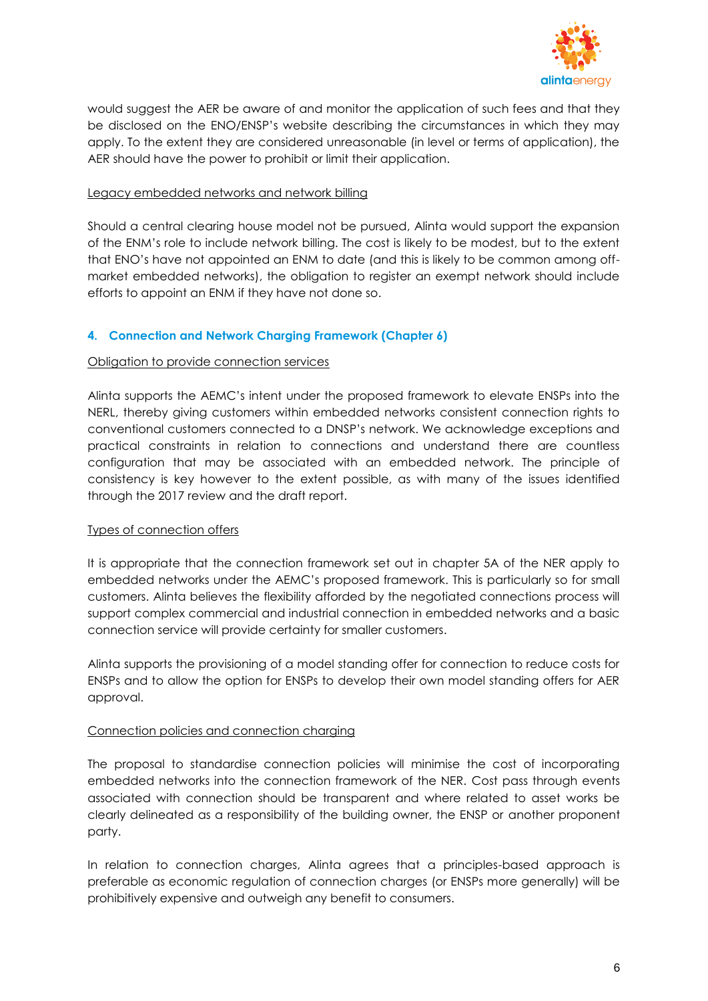

would suggest the AER be aware of and monitor the application of such fees and that they be disclosed on the ENO/ENSP's website describing the circumstances in which they may apply. To the extent they are considered unreasonable (in level or terms of application), the AER should have the power to prohibit or limit their application.

## Legacy embedded networks and network billing

Should a central clearing house model not be pursued, Alinta would support the expansion of the ENM's role to include network billing. The cost is likely to be modest, but to the extent that ENO's have not appointed an ENM to date (and this is likely to be common among offmarket embedded networks), the obligation to register an exempt network should include efforts to appoint an ENM if they have not done so.

## **4. Connection and Network Charging Framework (Chapter 6)**

## Obligation to provide connection services

Alinta supports the AEMC's intent under the proposed framework to elevate ENSPs into the NERL, thereby giving customers within embedded networks consistent connection rights to conventional customers connected to a DNSP's network. We acknowledge exceptions and practical constraints in relation to connections and understand there are countless configuration that may be associated with an embedded network. The principle of consistency is key however to the extent possible, as with many of the issues identified through the 2017 review and the draft report.

#### Types of connection offers

It is appropriate that the connection framework set out in chapter 5A of the NER apply to embedded networks under the AEMC's proposed framework. This is particularly so for small customers. Alinta believes the flexibility afforded by the negotiated connections process will support complex commercial and industrial connection in embedded networks and a basic connection service will provide certainty for smaller customers.

Alinta supports the provisioning of a model standing offer for connection to reduce costs for ENSPs and to allow the option for ENSPs to develop their own model standing offers for AER approval.

#### Connection policies and connection charging

The proposal to standardise connection policies will minimise the cost of incorporating embedded networks into the connection framework of the NER. Cost pass through events associated with connection should be transparent and where related to asset works be clearly delineated as a responsibility of the building owner, the ENSP or another proponent party.

In relation to connection charges, Alinta agrees that a principles-based approach is preferable as economic regulation of connection charges (or ENSPs more generally) will be prohibitively expensive and outweigh any benefit to consumers.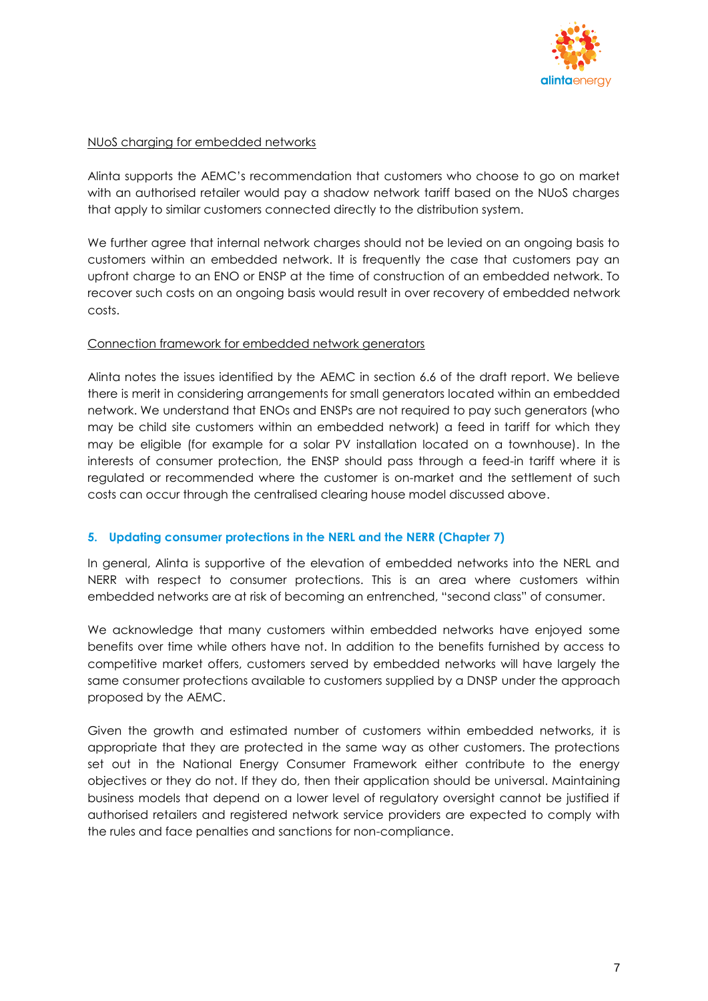

## NUoS charging for embedded networks

Alinta supports the AEMC's recommendation that customers who choose to go on market with an authorised retailer would pay a shadow network tariff based on the NUoS charges that apply to similar customers connected directly to the distribution system.

We further agree that internal network charges should not be levied on an ongoing basis to customers within an embedded network. It is frequently the case that customers pay an upfront charge to an ENO or ENSP at the time of construction of an embedded network. To recover such costs on an ongoing basis would result in over recovery of embedded network costs.

## Connection framework for embedded network generators

Alinta notes the issues identified by the AEMC in section 6.6 of the draft report. We believe there is merit in considering arrangements for small generators located within an embedded network. We understand that ENOs and ENSPs are not required to pay such generators (who may be child site customers within an embedded network) a feed in tariff for which they may be eligible (for example for a solar PV installation located on a townhouse). In the interests of consumer protection, the ENSP should pass through a feed-in tariff where it is regulated or recommended where the customer is on-market and the settlement of such costs can occur through the centralised clearing house model discussed above.

## **5. Updating consumer protections in the NERL and the NERR (Chapter 7)**

In general, Alinta is supportive of the elevation of embedded networks into the NERL and NERR with respect to consumer protections. This is an area where customers within embedded networks are at risk of becoming an entrenched, "second class" of consumer.

We acknowledge that many customers within embedded networks have enjoyed some benefits over time while others have not. In addition to the benefits furnished by access to competitive market offers, customers served by embedded networks will have largely the same consumer protections available to customers supplied by a DNSP under the approach proposed by the AEMC.

Given the growth and estimated number of customers within embedded networks, it is appropriate that they are protected in the same way as other customers. The protections set out in the National Energy Consumer Framework either contribute to the energy objectives or they do not. If they do, then their application should be universal. Maintaining business models that depend on a lower level of regulatory oversight cannot be justified if authorised retailers and registered network service providers are expected to comply with the rules and face penalties and sanctions for non-compliance.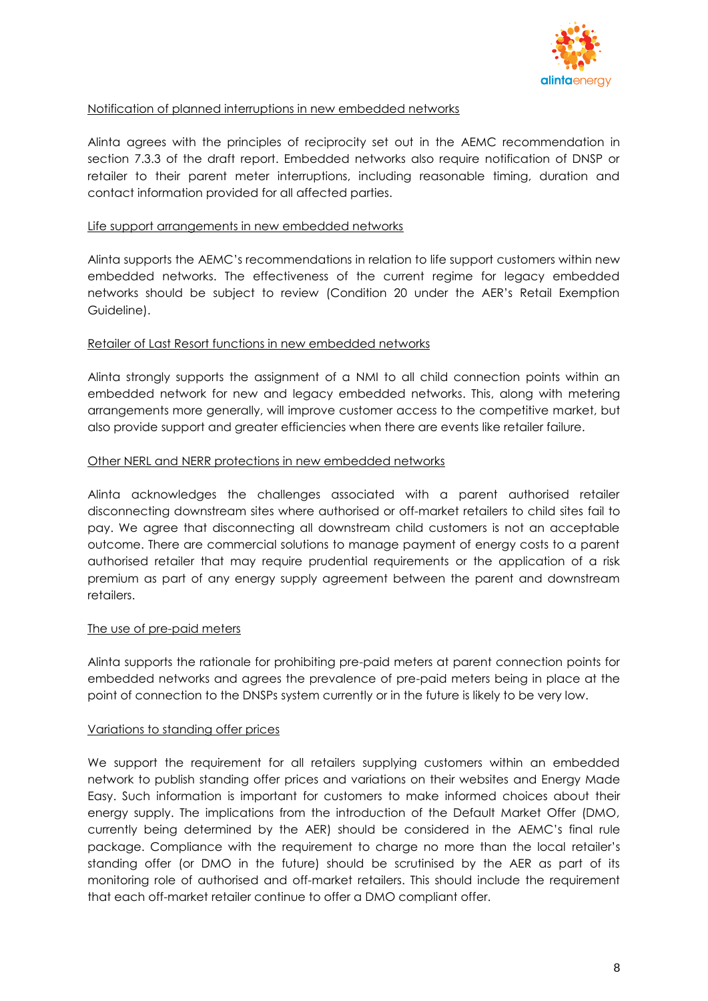

## Notification of planned interruptions in new embedded networks

Alinta agrees with the principles of reciprocity set out in the AEMC recommendation in section 7.3.3 of the draft report. Embedded networks also require notification of DNSP or retailer to their parent meter interruptions, including reasonable timing, duration and contact information provided for all affected parties.

## Life support arrangements in new embedded networks

Alinta supports the AEMC's recommendations in relation to life support customers within new embedded networks. The effectiveness of the current regime for legacy embedded networks should be subject to review (Condition 20 under the AER's Retail Exemption Guideline).

## Retailer of Last Resort functions in new embedded networks

Alinta strongly supports the assignment of a NMI to all child connection points within an embedded network for new and legacy embedded networks. This, along with metering arrangements more generally, will improve customer access to the competitive market, but also provide support and greater efficiencies when there are events like retailer failure.

## Other NERL and NERR protections in new embedded networks

Alinta acknowledges the challenges associated with a parent authorised retailer disconnecting downstream sites where authorised or off-market retailers to child sites fail to pay. We agree that disconnecting all downstream child customers is not an acceptable outcome. There are commercial solutions to manage payment of energy costs to a parent authorised retailer that may require prudential requirements or the application of a risk premium as part of any energy supply agreement between the parent and downstream retailers.

#### The use of pre-paid meters

Alinta supports the rationale for prohibiting pre-paid meters at parent connection points for embedded networks and agrees the prevalence of pre-paid meters being in place at the point of connection to the DNSPs system currently or in the future is likely to be very low.

#### Variations to standing offer prices

We support the requirement for all retailers supplying customers within an embedded network to publish standing offer prices and variations on their websites and Energy Made Easy. Such information is important for customers to make informed choices about their energy supply. The implications from the introduction of the Default Market Offer (DMO, currently being determined by the AER) should be considered in the AEMC's final rule package. Compliance with the requirement to charge no more than the local retailer's standing offer (or DMO in the future) should be scrutinised by the AER as part of its monitoring role of authorised and off-market retailers. This should include the requirement that each off-market retailer continue to offer a DMO compliant offer.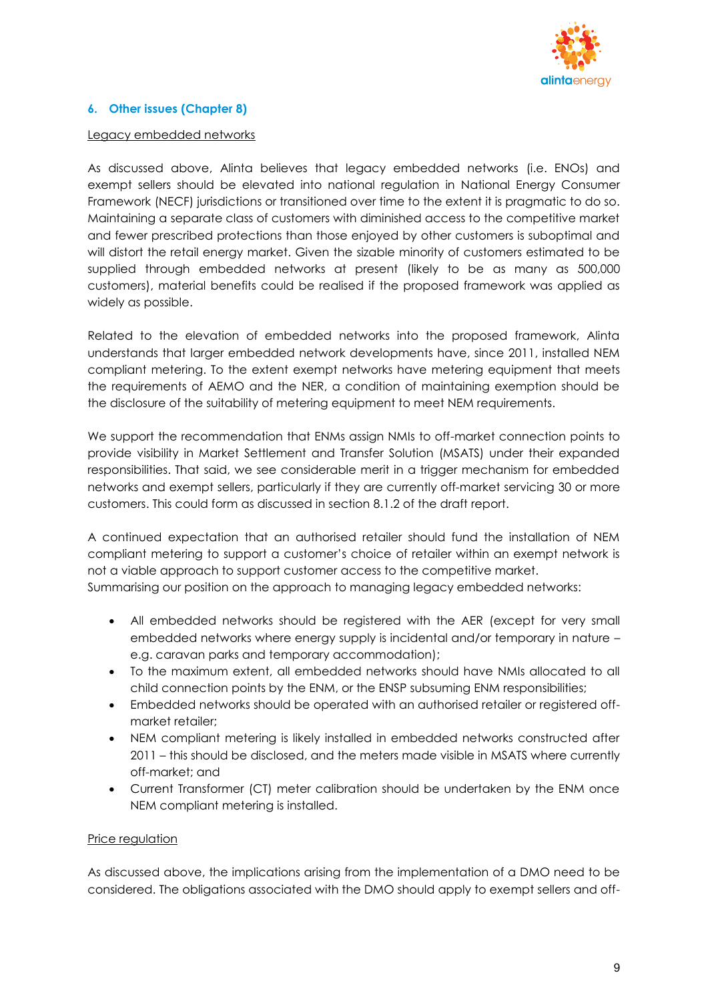

## **6. Other issues (Chapter 8)**

#### Legacy embedded networks

As discussed above, Alinta believes that legacy embedded networks (i.e. ENOs) and exempt sellers should be elevated into national regulation in National Energy Consumer Framework (NECF) jurisdictions or transitioned over time to the extent it is pragmatic to do so. Maintaining a separate class of customers with diminished access to the competitive market and fewer prescribed protections than those enjoyed by other customers is suboptimal and will distort the retail energy market. Given the sizable minority of customers estimated to be supplied through embedded networks at present (likely to be as many as 500,000 customers), material benefits could be realised if the proposed framework was applied as widely as possible.

Related to the elevation of embedded networks into the proposed framework, Alinta understands that larger embedded network developments have, since 2011, installed NEM compliant metering. To the extent exempt networks have metering equipment that meets the requirements of AEMO and the NER, a condition of maintaining exemption should be the disclosure of the suitability of metering equipment to meet NEM requirements.

We support the recommendation that ENMs assign NMIs to off-market connection points to provide visibility in Market Settlement and Transfer Solution (MSATS) under their expanded responsibilities. That said, we see considerable merit in a trigger mechanism for embedded networks and exempt sellers, particularly if they are currently off-market servicing 30 or more customers. This could form as discussed in section 8.1.2 of the draft report.

A continued expectation that an authorised retailer should fund the installation of NEM compliant metering to support a customer's choice of retailer within an exempt network is not a viable approach to support customer access to the competitive market. Summarising our position on the approach to managing legacy embedded networks:

- All embedded networks should be registered with the AER (except for very small embedded networks where energy supply is incidental and/or temporary in nature – e.g. caravan parks and temporary accommodation);
- To the maximum extent, all embedded networks should have NMIs allocated to all child connection points by the ENM, or the ENSP subsuming ENM responsibilities;
- Embedded networks should be operated with an authorised retailer or registered offmarket retailer;
- NEM compliant metering is likely installed in embedded networks constructed after 2011 – this should be disclosed, and the meters made visible in MSATS where currently off-market; and
- Current Transformer (CT) meter calibration should be undertaken by the ENM once NEM compliant metering is installed.

#### Price regulation

As discussed above, the implications arising from the implementation of a DMO need to be considered. The obligations associated with the DMO should apply to exempt sellers and off-